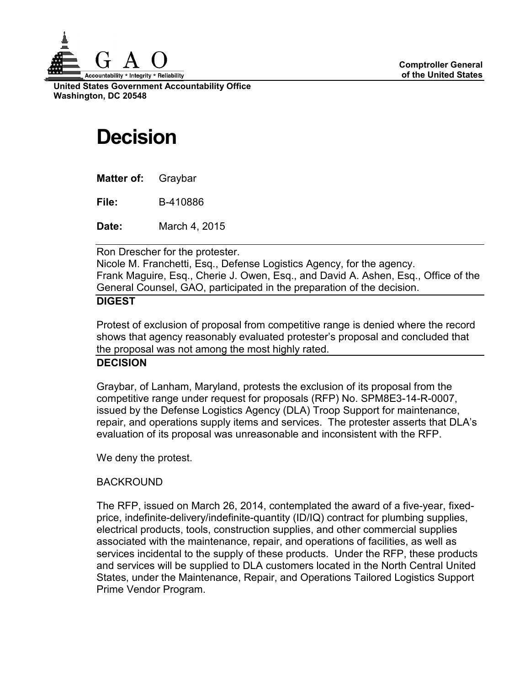

**United States Government Accountability Office Washington, DC 20548**

# **Decision**

**Matter of:** Graybar

**File:** B-410886

**Date:** March 4, 2015

Ron Drescher for the protester.

Nicole M. Franchetti, Esq., Defense Logistics Agency, for the agency. Frank Maguire, Esq., Cherie J. Owen, Esq., and David A. Ashen, Esq., Office of the General Counsel, GAO, participated in the preparation of the decision.

## **DIGEST**

Protest of exclusion of proposal from competitive range is denied where the record shows that agency reasonably evaluated protester's proposal and concluded that the proposal was not among the most highly rated.

### **DECISION**

Graybar, of Lanham, Maryland, protests the exclusion of its proposal from the competitive range under request for proposals (RFP) No. SPM8E3-14-R-0007, issued by the Defense Logistics Agency (DLA) Troop Support for maintenance, repair, and operations supply items and services. The protester asserts that DLA's evaluation of its proposal was unreasonable and inconsistent with the RFP.

We deny the protest.

## BACKROUND

The RFP, issued on March 26, 2014, contemplated the award of a five-year, fixedprice, indefinite-delivery/indefinite-quantity (ID/IQ) contract for plumbing supplies, electrical products, tools, construction supplies, and other commercial supplies associated with the maintenance, repair, and operations of facilities, as well as services incidental to the supply of these products. Under the RFP, these products and services will be supplied to DLA customers located in the North Central United States, under the Maintenance, Repair, and Operations Tailored Logistics Support Prime Vendor Program.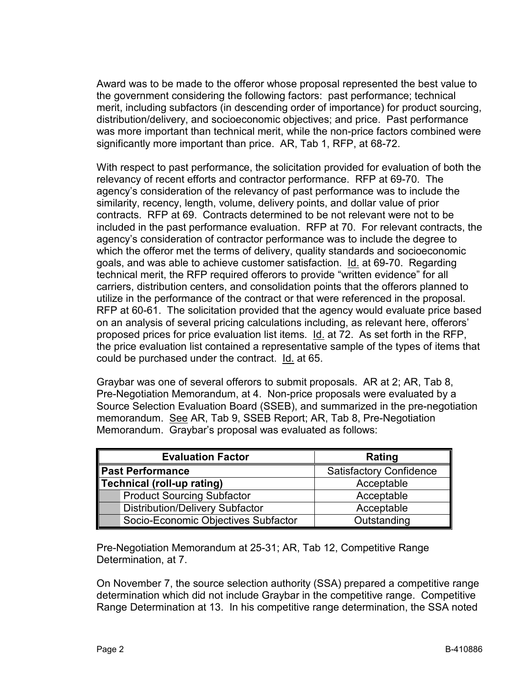Award was to be made to the offeror whose proposal represented the best value to the government considering the following factors: past performance; technical merit, including subfactors (in descending order of importance) for product sourcing, distribution/delivery, and socioeconomic objectives; and price. Past performance was more important than technical merit, while the non-price factors combined were significantly more important than price. AR, Tab 1, RFP, at 68-72.

With respect to past performance, the solicitation provided for evaluation of both the relevancy of recent efforts and contractor performance. RFP at 69-70. The agency's consideration of the relevancy of past performance was to include the similarity, recency, length, volume, delivery points, and dollar value of prior contracts. RFP at 69. Contracts determined to be not relevant were not to be included in the past performance evaluation. RFP at 70. For relevant contracts, the agency's consideration of contractor performance was to include the degree to which the offeror met the terms of delivery, quality standards and socioeconomic goals, and was able to achieve customer satisfaction. Id. at 69-70. Regarding technical merit, the RFP required offerors to provide "written evidence" for all carriers, distribution centers, and consolidation points that the offerors planned to utilize in the performance of the contract or that were referenced in the proposal. RFP at 60-61. The solicitation provided that the agency would evaluate price based on an analysis of several pricing calculations including, as relevant here, offerors' proposed prices for price evaluation list items. Id. at 72. As set forth in the RFP, the price evaluation list contained a representative sample of the types of items that could be purchased under the contract. Id. at 65.

Graybar was one of several offerors to submit proposals. AR at 2; AR, Tab 8, Pre-Negotiation Memorandum, at 4. Non-price proposals were evaluated by a Source Selection Evaluation Board (SSEB), and summarized in the pre-negotiation memorandum. See AR, Tab 9, SSEB Report; AR, Tab 8, Pre-Negotiation Memorandum. Graybar's proposal was evaluated as follows:

| <b>Evaluation Factor</b>               | Rating                         |
|----------------------------------------|--------------------------------|
| Past Performance                       | <b>Satisfactory Confidence</b> |
| Technical (roll-up rating)             | Acceptable                     |
| <b>Product Sourcing Subfactor</b>      | Acceptable                     |
| <b>Distribution/Delivery Subfactor</b> | Acceptable                     |
| Socio-Economic Objectives Subfactor    | Outstanding                    |

Pre-Negotiation Memorandum at 25-31; AR, Tab 12, Competitive Range Determination, at 7.

On November 7, the source selection authority (SSA) prepared a competitive range determination which did not include Graybar in the competitive range. Competitive Range Determination at 13. In his competitive range determination, the SSA noted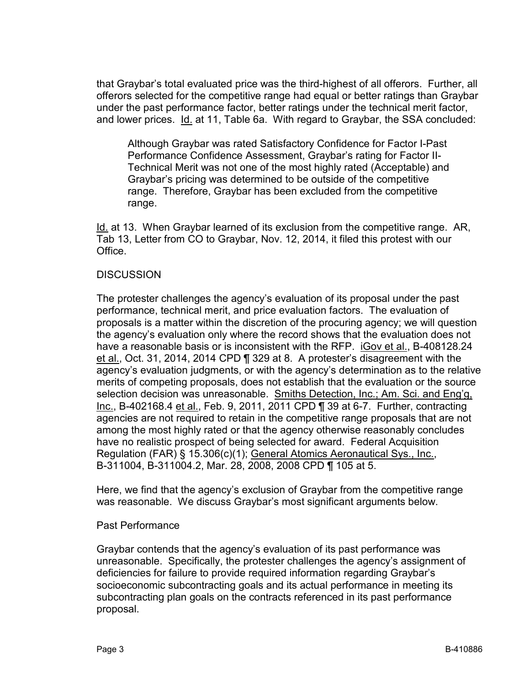that Graybar's total evaluated price was the third-highest of all offerors. Further, all offerors selected for the competitive range had equal or better ratings than Graybar under the past performance factor, better ratings under the technical merit factor, and lower prices. Id. at 11, Table 6a. With regard to Graybar, the SSA concluded:

Although Graybar was rated Satisfactory Confidence for Factor I-Past Performance Confidence Assessment, Graybar's rating for Factor II-Technical Merit was not one of the most highly rated (Acceptable) and Graybar's pricing was determined to be outside of the competitive range. Therefore, Graybar has been excluded from the competitive range.

Id. at 13. When Graybar learned of its exclusion from the competitive range. AR, Tab 13, Letter from CO to Graybar, Nov. 12, 2014, it filed this protest with our **Office** 

#### **DISCUSSION**

The protester challenges the agency's evaluation of its proposal under the past performance, technical merit, and price evaluation factors. The evaluation of proposals is a matter within the discretion of the procuring agency; we will question the agency's evaluation only where the record shows that the evaluation does not have a reasonable basis or is inconsistent with the RFP. iGov et al., B-408128.24 et al., Oct. 31, 2014, 2014 CPD ¶ 329 at 8. A protester's disagreement with the agency's evaluation judgments, or with the agency's determination as to the relative merits of competing proposals, does not establish that the evaluation or the source selection decision was unreasonable. Smiths Detection, Inc.; Am. Sci. and Eng'g, Inc., B-402168.4 et al., Feb. 9, 2011, 2011 CPD ¶ 39 at 6-7. Further, contracting agencies are not required to retain in the competitive range proposals that are not among the most highly rated or that the agency otherwise reasonably concludes have no realistic prospect of being selected for award. Federal Acquisition Regulation (FAR) § 15.306(c)(1); General Atomics Aeronautical Sys., Inc., B-311004, B-311004.2, Mar. 28, 2008, 2008 CPD ¶ 105 at 5.

Here, we find that the agency's exclusion of Graybar from the competitive range was reasonable. We discuss Graybar's most significant arguments below.

#### Past Performance

Graybar contends that the agency's evaluation of its past performance was unreasonable. Specifically, the protester challenges the agency's assignment of deficiencies for failure to provide required information regarding Graybar's socioeconomic subcontracting goals and its actual performance in meeting its subcontracting plan goals on the contracts referenced in its past performance proposal.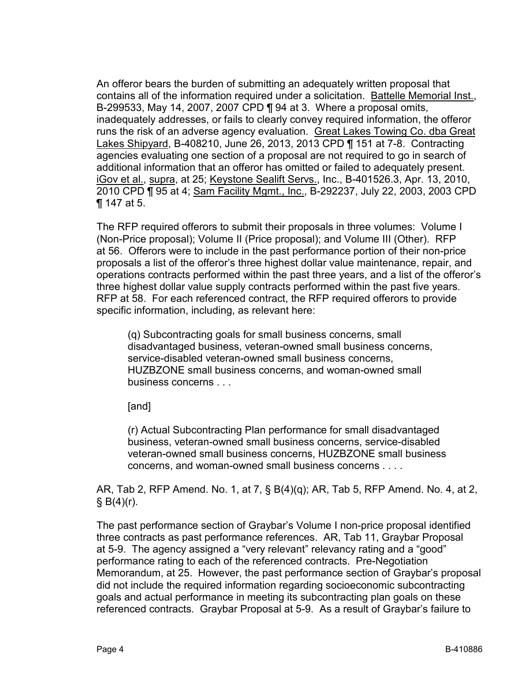An offeror bears the burden of submitting an adequately written proposal that contains all of the information required under a solicitation. Battelle Memorial Inst., B-299533, May 14, 2007, 2007 CPD ¶ 94 at 3. Where a proposal omits, inadequately addresses, or fails to clearly convey required information, the offeror runs the risk of an adverse agency evaluation. Great Lakes Towing Co. dba Great Lakes Shipyard, B-408210, June 26, 2013, 2013 CPD ¶ 151 at 7-8. Contracting agencies evaluating one section of a proposal are not required to go in search of additional information that an offeror has omitted or failed to adequately present. iGov et al., supra, at 25; Keystone Sealift Servs., Inc., B-401526.3, Apr. 13, 2010, 2010 CPD ¶ 95 at 4; Sam Facility Mgmt., Inc., B-292237, July 22, 2003, 2003 CPD ¶ 147 at 5.

The RFP required offerors to submit their proposals in three volumes: Volume I (Non-Price proposal); Volume II (Price proposal); and Volume III (Other). RFP at 56. Offerors were to include in the past performance portion of their non-price proposals a list of the offeror's three highest dollar value maintenance, repair, and operations contracts performed within the past three years, and a list of the offeror's three highest dollar value supply contracts performed within the past five years. RFP at 58. For each referenced contract, the RFP required offerors to provide specific information, including, as relevant here:

(q) Subcontracting goals for small business concerns, small disadvantaged business, veteran-owned small business concerns, service-disabled veteran-owned small business concerns, HUZBZONE small business concerns, and woman-owned small business concerns . . .

[and]

(r) Actual Subcontracting Plan performance for small disadvantaged business, veteran-owned small business concerns, service-disabled veteran-owned small business concerns, HUZBZONE small business concerns, and woman-owned small business concerns . . . .

AR, Tab 2, RFP Amend. No. 1, at 7, § B(4)(q); AR, Tab 5, RFP Amend. No. 4, at 2,  $§ B(4)(r).$ 

The past performance section of Graybar's Volume I non-price proposal identified three contracts as past performance references. AR, Tab 11, Graybar Proposal at 5-9. The agency assigned a "very relevant" relevancy rating and a "good" performance rating to each of the referenced contracts. Pre-Negotiation Memorandum, at 25. However, the past performance section of Graybar's proposal did not include the required information regarding socioeconomic subcontracting goals and actual performance in meeting its subcontracting plan goals on these referenced contracts. Graybar Proposal at 5-9. As a result of Graybar's failure to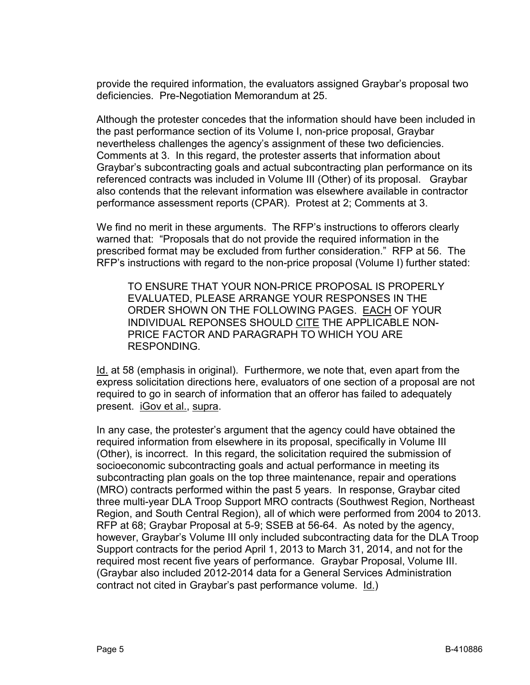provide the required information, the evaluators assigned Graybar's proposal two deficiencies. Pre-Negotiation Memorandum at 25.

Although the protester concedes that the information should have been included in the past performance section of its Volume I, non-price proposal, Graybar nevertheless challenges the agency's assignment of these two deficiencies. Comments at 3. In this regard, the protester asserts that information about Graybar's subcontracting goals and actual subcontracting plan performance on its referenced contracts was included in Volume III (Other) of its proposal. Graybar also contends that the relevant information was elsewhere available in contractor performance assessment reports (CPAR). Protest at 2; Comments at 3.

We find no merit in these arguments. The RFP's instructions to offerors clearly warned that: "Proposals that do not provide the required information in the prescribed format may be excluded from further consideration." RFP at 56. The RFP's instructions with regard to the non-price proposal (Volume I) further stated:

TO ENSURE THAT YOUR NON-PRICE PROPOSAL IS PROPERLY EVALUATED, PLEASE ARRANGE YOUR RESPONSES IN THE ORDER SHOWN ON THE FOLLOWING PAGES. EACH OF YOUR INDIVIDUAL REPONSES SHOULD CITE THE APPLICABLE NON-PRICE FACTOR AND PARAGRAPH TO WHICH YOU ARE RESPONDING.

Id. at 58 (emphasis in original). Furthermore, we note that, even apart from the express solicitation directions here, evaluators of one section of a proposal are not required to go in search of information that an offeror has failed to adequately present. iGov et al., supra.

In any case, the protester's argument that the agency could have obtained the required information from elsewhere in its proposal, specifically in Volume III (Other), is incorrect. In this regard, the solicitation required the submission of socioeconomic subcontracting goals and actual performance in meeting its subcontracting plan goals on the top three maintenance, repair and operations (MRO) contracts performed within the past 5 years. In response, Graybar cited three multi-year DLA Troop Support MRO contracts (Southwest Region, Northeast Region, and South Central Region), all of which were performed from 2004 to 2013. RFP at 68; Graybar Proposal at 5-9; SSEB at 56-64. As noted by the agency, however, Graybar's Volume III only included subcontracting data for the DLA Troop Support contracts for the period April 1, 2013 to March 31, 2014, and not for the required most recent five years of performance. Graybar Proposal, Volume III. (Graybar also included 2012-2014 data for a General Services Administration contract not cited in Graybar's past performance volume. Id.)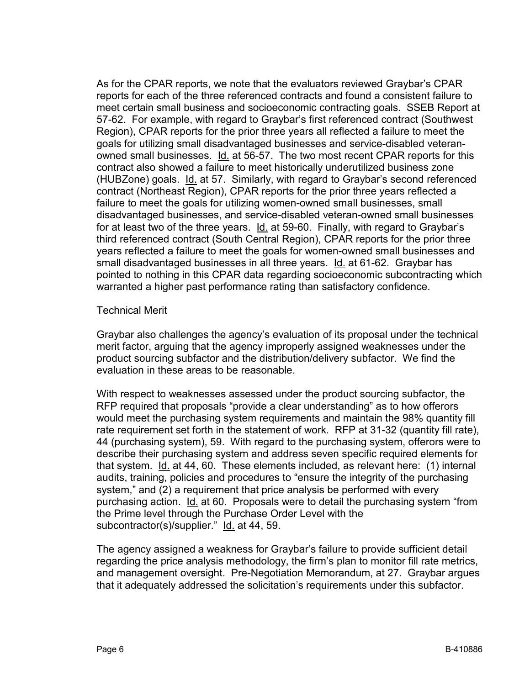As for the CPAR reports, we note that the evaluators reviewed Graybar's CPAR reports for each of the three referenced contracts and found a consistent failure to meet certain small business and socioeconomic contracting goals. SSEB Report at 57-62. For example, with regard to Graybar's first referenced contract (Southwest Region), CPAR reports for the prior three years all reflected a failure to meet the goals for utilizing small disadvantaged businesses and service-disabled veteranowned small businesses. Id. at 56-57. The two most recent CPAR reports for this contract also showed a failure to meet historically underutilized business zone (HUBZone) goals. Id. at 57. Similarly, with regard to Graybar's second referenced contract (Northeast Region), CPAR reports for the prior three years reflected a failure to meet the goals for utilizing women-owned small businesses, small disadvantaged businesses, and service-disabled veteran-owned small businesses for at least two of the three years. Id. at 59-60. Finally, with regard to Graybar's third referenced contract (South Central Region), CPAR reports for the prior three years reflected a failure to meet the goals for women-owned small businesses and small disadvantaged businesses in all three years. Id. at 61-62. Graybar has pointed to nothing in this CPAR data regarding socioeconomic subcontracting which warranted a higher past performance rating than satisfactory confidence.

#### Technical Merit

Graybar also challenges the agency's evaluation of its proposal under the technical merit factor, arguing that the agency improperly assigned weaknesses under the product sourcing subfactor and the distribution/delivery subfactor. We find the evaluation in these areas to be reasonable.

With respect to weaknesses assessed under the product sourcing subfactor, the RFP required that proposals "provide a clear understanding" as to how offerors would meet the purchasing system requirements and maintain the 98% quantity fill rate requirement set forth in the statement of work. RFP at 31-32 (quantity fill rate), 44 (purchasing system), 59. With regard to the purchasing system, offerors were to describe their purchasing system and address seven specific required elements for that system. Id. at 44, 60. These elements included, as relevant here: (1) internal audits, training, policies and procedures to "ensure the integrity of the purchasing system," and (2) a requirement that price analysis be performed with every purchasing action. Id. at 60. Proposals were to detail the purchasing system "from the Prime level through the Purchase Order Level with the subcontractor(s)/supplier." Id. at 44, 59.

The agency assigned a weakness for Graybar's failure to provide sufficient detail regarding the price analysis methodology, the firm's plan to monitor fill rate metrics, and management oversight. Pre-Negotiation Memorandum, at 27. Graybar argues that it adequately addressed the solicitation's requirements under this subfactor.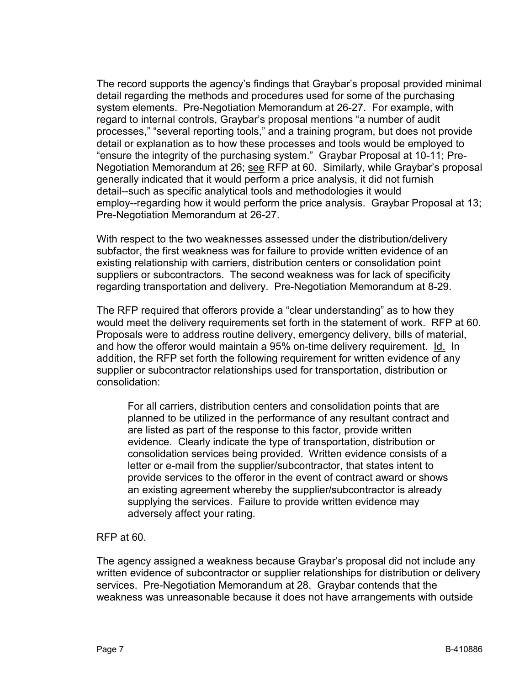The record supports the agency's findings that Graybar's proposal provided minimal detail regarding the methods and procedures used for some of the purchasing system elements. Pre-Negotiation Memorandum at 26-27. For example, with regard to internal controls, Graybar's proposal mentions "a number of audit processes," "several reporting tools," and a training program, but does not provide detail or explanation as to how these processes and tools would be employed to "ensure the integrity of the purchasing system." Graybar Proposal at 10-11; Pre-Negotiation Memorandum at 26; see RFP at 60. Similarly, while Graybar's proposal generally indicated that it would perform a price analysis, it did not furnish detail--such as specific analytical tools and methodologies it would employ--regarding how it would perform the price analysis. Graybar Proposal at 13; Pre-Negotiation Memorandum at 26-27.

With respect to the two weaknesses assessed under the distribution/delivery subfactor, the first weakness was for failure to provide written evidence of an existing relationship with carriers, distribution centers or consolidation point suppliers or subcontractors. The second weakness was for lack of specificity regarding transportation and delivery. Pre-Negotiation Memorandum at 8-29.

The RFP required that offerors provide a "clear understanding" as to how they would meet the delivery requirements set forth in the statement of work. RFP at 60. Proposals were to address routine delivery, emergency delivery, bills of material, and how the offeror would maintain a 95% on-time delivery requirement. Id. In addition, the RFP set forth the following requirement for written evidence of any supplier or subcontractor relationships used for transportation, distribution or consolidation:

For all carriers, distribution centers and consolidation points that are planned to be utilized in the performance of any resultant contract and are listed as part of the response to this factor, provide written evidence. Clearly indicate the type of transportation, distribution or consolidation services being provided. Written evidence consists of a letter or e-mail from the supplier/subcontractor, that states intent to provide services to the offeror in the event of contract award or shows an existing agreement whereby the supplier/subcontractor is already supplying the services. Failure to provide written evidence may adversely affect your rating.

#### RFP at 60.

The agency assigned a weakness because Graybar's proposal did not include any written evidence of subcontractor or supplier relationships for distribution or delivery services. Pre-Negotiation Memorandum at 28. Graybar contends that the weakness was unreasonable because it does not have arrangements with outside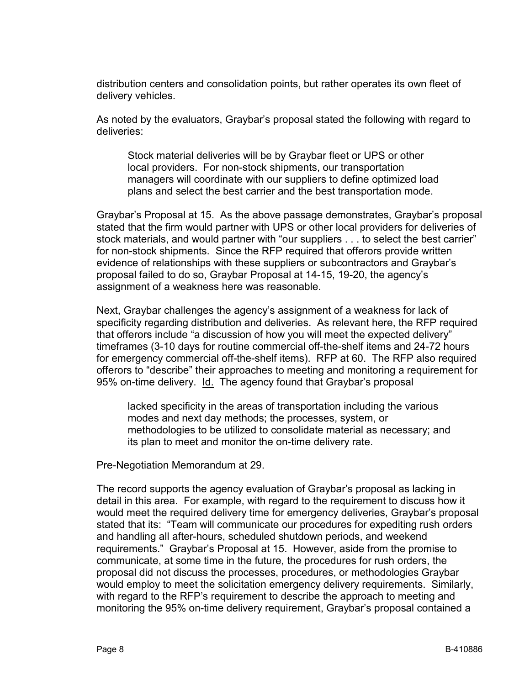distribution centers and consolidation points, but rather operates its own fleet of delivery vehicles.

As noted by the evaluators, Graybar's proposal stated the following with regard to deliveries:

Stock material deliveries will be by Graybar fleet or UPS or other local providers. For non-stock shipments, our transportation managers will coordinate with our suppliers to define optimized load plans and select the best carrier and the best transportation mode.

Graybar's Proposal at 15. As the above passage demonstrates, Graybar's proposal stated that the firm would partner with UPS or other local providers for deliveries of stock materials, and would partner with "our suppliers . . . to select the best carrier" for non-stock shipments. Since the RFP required that offerors provide written evidence of relationships with these suppliers or subcontractors and Graybar's proposal failed to do so, Graybar Proposal at 14-15, 19-20, the agency's assignment of a weakness here was reasonable.

Next, Graybar challenges the agency's assignment of a weakness for lack of specificity regarding distribution and deliveries. As relevant here, the RFP required that offerors include "a discussion of how you will meet the expected delivery" timeframes (3-10 days for routine commercial off-the-shelf items and 24-72 hours for emergency commercial off-the-shelf items). RFP at 60. The RFP also required offerors to "describe" their approaches to meeting and monitoring a requirement for 95% on-time delivery. Id. The agency found that Graybar's proposal

lacked specificity in the areas of transportation including the various modes and next day methods; the processes, system, or methodologies to be utilized to consolidate material as necessary; and its plan to meet and monitor the on-time delivery rate.

Pre-Negotiation Memorandum at 29.

The record supports the agency evaluation of Graybar's proposal as lacking in detail in this area. For example, with regard to the requirement to discuss how it would meet the required delivery time for emergency deliveries, Graybar's proposal stated that its: "Team will communicate our procedures for expediting rush orders and handling all after-hours, scheduled shutdown periods, and weekend requirements." Graybar's Proposal at 15. However, aside from the promise to communicate, at some time in the future, the procedures for rush orders, the proposal did not discuss the processes, procedures, or methodologies Graybar would employ to meet the solicitation emergency delivery requirements. Similarly, with regard to the RFP's requirement to describe the approach to meeting and monitoring the 95% on-time delivery requirement, Graybar's proposal contained a